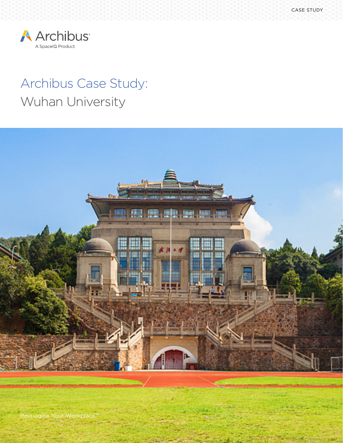SPACEIQ E-BOOK 1



# Archibus Case Study: Wuhan University



Reimagine Your Workplace<sup>™</sup>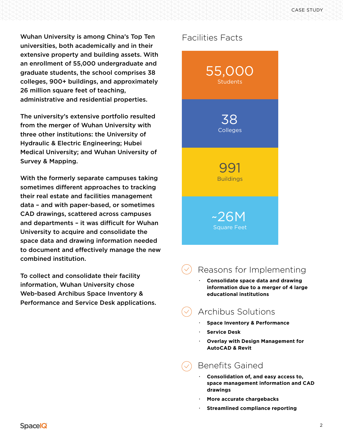Wuhan University is among China's Top Ten universities, both academically and in their extensive property and building assets. With an enrollment of 55,000 undergraduate and graduate students, the school comprises 38 colleges, 900+ buildings, and approximately 26 million square feet of teaching, administrative and residential properties.

The university's extensive portfolio resulted from the merger of Wuhan University with three other institutions: the University of Hydraulic & Electric Engineering; Hubei Medical University; and Wuhan University of Survey & Mapping.

With the formerly separate campuses taking sometimes different approaches to tracking their real estate and facilities management data – and with paper-based, or sometimes CAD drawings, scattered across campuses and departments – it was difficult for Wuhan University to acquire and consolidate the space data and drawing information needed to document and effectively manage the new combined institution.

To collect and consolidate their facility information, Wuhan University chose Web-based Archibus Space Inventory & Performance and Service Desk applications.

#### Facilities Facts



## Reasons for Implementing

**· Consolidate space data and drawing information due to a merger of 4 large educational institutions**

## Archibus Solutions

- **· Space Inventory & Performance**
- **· Service Desk**
- **· Overlay with Design Management for AutoCAD & Revit**

## Benefits Gained

- **· Consolidation of, and easy access to, space management information and CAD drawings**
- **· More accurate chargebacks**
- **· Streamlined compliance reporting**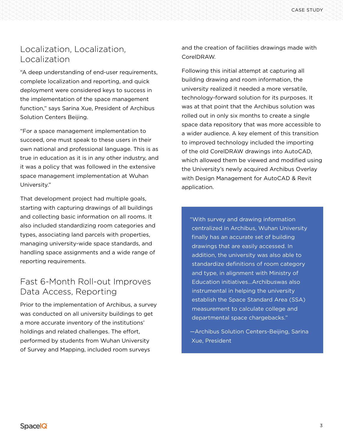### Localization, Localization, Localization

"A deep understanding of end-user requirements, complete localization and reporting, and quick deployment were considered keys to success in the implementation of the space management function," says Sarina Xue, President of Archibus Solution Centers Beijing.

"For a space management implementation to succeed, one must speak to these users in their own national and professional language. This is as true in education as it is in any other industry, and it was a policy that was followed in the extensive space management implementation at Wuhan University."

That development project had multiple goals, starting with capturing drawings of all buildings and collecting basic information on all rooms. It also included standardizing room categories and types, associating land parcels with properties, managing university-wide space standards, and handling space assignments and a wide range of reporting requirements.

#### Fast 6-Month Roll-out Improves Data Access, Reporting

Prior to the implementation of Archibus, a survey was conducted on all university buildings to get a more accurate inventory of the institutions' holdings and related challenges. The effort, performed by students from Wuhan University of Survey and Mapping, included room surveys

and the creation of facilities drawings made with CorelDRAW.

Following this initial attempt at capturing all building drawing and room information, the university realized it needed a more versatile, technology-forward solution for its purposes. It was at that point that the Archibus solution was rolled out in only six months to create a single space data repository that was more accessible to a wider audience. A key element of this transition to improved technology included the importing of the old CorelDRAW drawings into AutoCAD, which allowed them be viewed and modified using the University's newly acquired Archibus Overlay with Design Management for AutoCAD & Revit application.

"With survey and drawing information centralized in Archibus, Wuhan University finally has an accurate set of building drawings that are easily accessed. In addition, the university was also able to standardize definitions of room category and type, in alignment with Ministry of Education initiatives...Archibuswas also instrumental in helping the university establish the Space Standard Area (SSA) measurement to calculate college and departmental space chargebacks."

—Archibus Solution Centers-Beijing, Sarina Xue, President